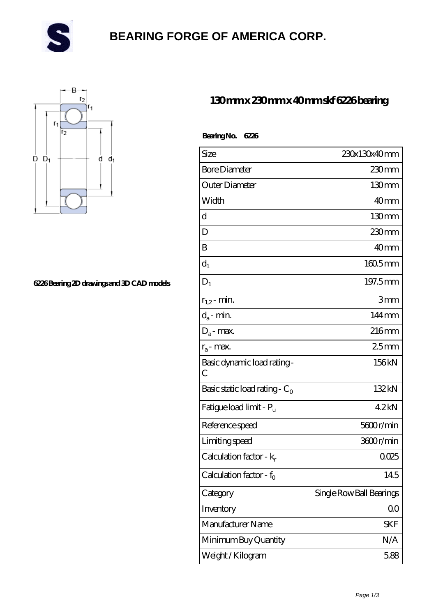

# **[BEARING FORGE OF AMERICA CORP.](https://danwei.tv)**



#### **[6226 Bearing 2D drawings and 3D CAD models](https://danwei.tv/pic-461643.html)**

### **[130 mm x 230 mm x 40 mm skf 6226 bearing](https://danwei.tv/skf-6226-bearing/)**

| Bearing No. 6226                    |                          |
|-------------------------------------|--------------------------|
| Size                                | 230x130x40mm             |
| <b>Bore Diameter</b>                | 230mm                    |
| Outer Diameter                      | 130 <sub>mm</sub>        |
| Width                               | 40 <sub>mm</sub>         |
| d                                   | $130 \text{mm}$          |
| D                                   | 230mm                    |
| B                                   | 40 <sub>mm</sub>         |
| $d_1$                               | $1605$ <sub>mm</sub>     |
| $D_1$                               | 197.5mm                  |
| $r_{1,2}$ - min.                    | 3mm                      |
| $d_a$ - min.                        | $144 \,\mathrm{mm}$      |
| $D_a$ - max.                        | $216$ mm                 |
| $r_a$ - max.                        | 25mm                     |
| Basic dynamic load rating -<br>С    | 156kN                    |
| Basic static load rating - $C_0$    | 132kN                    |
| Fatigue load limit - P <sub>u</sub> | 42kN                     |
| Reference speed                     | 5600r/min                |
| Limiting speed                      | 3600r/min                |
| Calculation factor - $k_r$          | 0025                     |
| Calculation factor - $f_0$          | 145                      |
| Category                            | Single Row Ball Bearings |
| Inventory                           | 0 <sub>0</sub>           |
| Manufacturer Name                   | <b>SKF</b>               |
| Minimum Buy Quantity                | N/A                      |
| Weight / Kilogram                   | 5.88                     |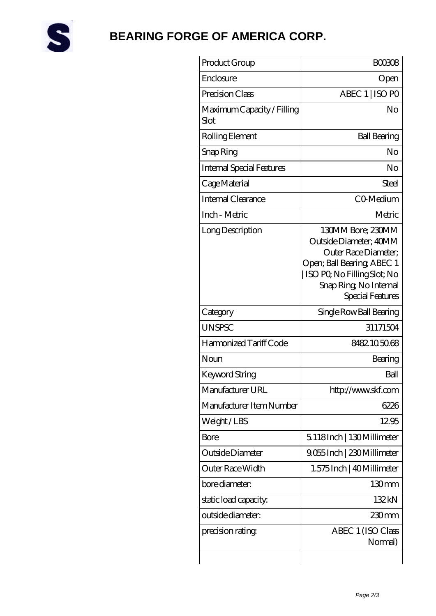

# **[BEARING FORGE OF AMERICA CORP.](https://danwei.tv)**

| Product Group                      | <b>BOO3O8</b>                                                                                                                                                                 |
|------------------------------------|-------------------------------------------------------------------------------------------------------------------------------------------------------------------------------|
| Enclosure                          | Open                                                                                                                                                                          |
| Precision Class                    | ABEC 1   ISO PO                                                                                                                                                               |
| Maximum Capacity / Filling<br>Slot | No                                                                                                                                                                            |
| Rolling Element                    | <b>Ball Bearing</b>                                                                                                                                                           |
| Snap Ring                          | No                                                                                                                                                                            |
| <b>Internal Special Features</b>   | No                                                                                                                                                                            |
| Cage Material                      | Steel                                                                                                                                                                         |
| Internal Clearance                 | CO-Medium                                                                                                                                                                     |
| Inch - Metric                      | Metric                                                                                                                                                                        |
| Long Description                   | 130MM Bore; 230MM<br>Outside Diameter; 40MM<br>Outer Race Diameter:<br>Open; Ball Bearing; ABEC 1<br>ISO PQ No Filling Slot; No<br>Snap Ring, No Internal<br>Special Features |
| Category                           | Single Row Ball Bearing                                                                                                                                                       |
| <b>UNSPSC</b>                      | 31171504                                                                                                                                                                      |
| Harmonized Tariff Code             | 8482105068                                                                                                                                                                    |
| Noun                               | Bearing                                                                                                                                                                       |
| Keyword String                     | Ball                                                                                                                                                                          |
| Manufacturer URL                   | http://www.skf.com                                                                                                                                                            |
| Manufacturer Item Number           | 6226                                                                                                                                                                          |
| Weight/LBS                         | 1295                                                                                                                                                                          |
| Bore                               | 5118Inch   130Millimeter                                                                                                                                                      |
| Outside Diameter                   | 9.055 Inch   230 Millimeter                                                                                                                                                   |
| Outer Race Width                   | 1.575 Inch   40 Millimeter                                                                                                                                                    |
| bore diameter:                     | 130 <sub>mm</sub>                                                                                                                                                             |
| static load capacity.              | 132kN                                                                                                                                                                         |
| outside diameter:                  | $230$ mm                                                                                                                                                                      |
| precision rating                   | ABEC 1 (ISO Class<br>Normal)                                                                                                                                                  |
|                                    |                                                                                                                                                                               |